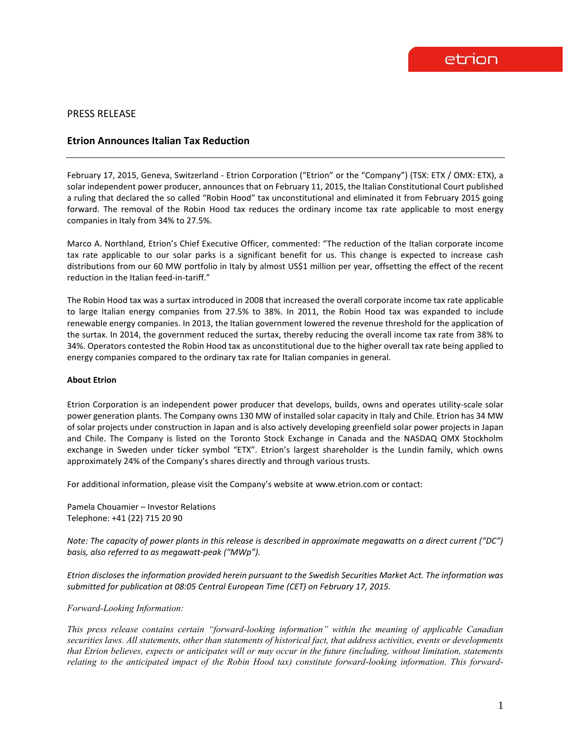## PRESS RELEASE

## **Etrion Announces Italian Tax Reduction**

February 17, 2015, Geneva, Switzerland - Etrion Corporation ("Etrion" or the "Company") (TSX: ETX / OMX: ETX), a solar independent power producer, announces that on February 11, 2015, the Italian Constitutional Court published a ruling that declared the so called "Robin Hood" tax unconstitutional and eliminated it from February 2015 going forward. The removal of the Robin Hood tax reduces the ordinary income tax rate applicable to most energy companies in Italy from 34% to 27.5%.

Marco A. Northland, Etrion's Chief Executive Officer, commented: "The reduction of the Italian corporate income tax rate applicable to our solar parks is a significant benefit for us. This change is expected to increase cash distributions from our 60 MW portfolio in Italy by almost US\$1 million per year, offsetting the effect of the recent reduction in the Italian feed-in-tariff."

The Robin Hood tax was a surtax introduced in 2008 that increased the overall corporate income tax rate applicable to large Italian energy companies from 27.5% to 38%. In 2011, the Robin Hood tax was expanded to include renewable energy companies. In 2013, the Italian government lowered the revenue threshold for the application of the surtax. In 2014, the government reduced the surtax, thereby reducing the overall income tax rate from 38% to 34%. Operators contested the Robin Hood tax as unconstitutional due to the higher overall tax rate being applied to energy companies compared to the ordinary tax rate for Italian companies in general.

## **About Etrion**

Etrion Corporation is an independent power producer that develops, builds, owns and operates utility-scale solar power generation plants. The Company owns 130 MW of installed solar capacity in Italy and Chile. Etrion has 34 MW of solar projects under construction in Japan and is also actively developing greenfield solar power projects in Japan and Chile. The Company is listed on the Toronto Stock Exchange in Canada and the NASDAQ OMX Stockholm exchange in Sweden under ticker symbol "ETX". Etrion's largest shareholder is the Lundin family, which owns approximately 24% of the Company's shares directly and through various trusts.

For additional information, please visit the Company's website at www.etrion.com or contact:

Pamela Chouamier – Investor Relations Telephone: +41 (22) 715 20 90

*Note: The capacity of power plants in this release is described in approximate megawatts on a direct current ("DC") basis, also referred to as megawatt-peak ("MWp").*

*Etrion discloses the information provided herein pursuant to the Swedish Securities Market Act. The information was submitted for publication at 08:05 Central European Time (CET) on February 17, 2015.* 

*Forward-Looking Information:* 

*This press release contains certain "forward-looking information" within the meaning of applicable Canadian securities laws. All statements, other than statements of historical fact, that address activities, events or developments that Etrion believes, expects or anticipates will or may occur in the future (including, without limitation, statements relating to the anticipated impact of the Robin Hood tax) constitute forward-looking information. This forward-*